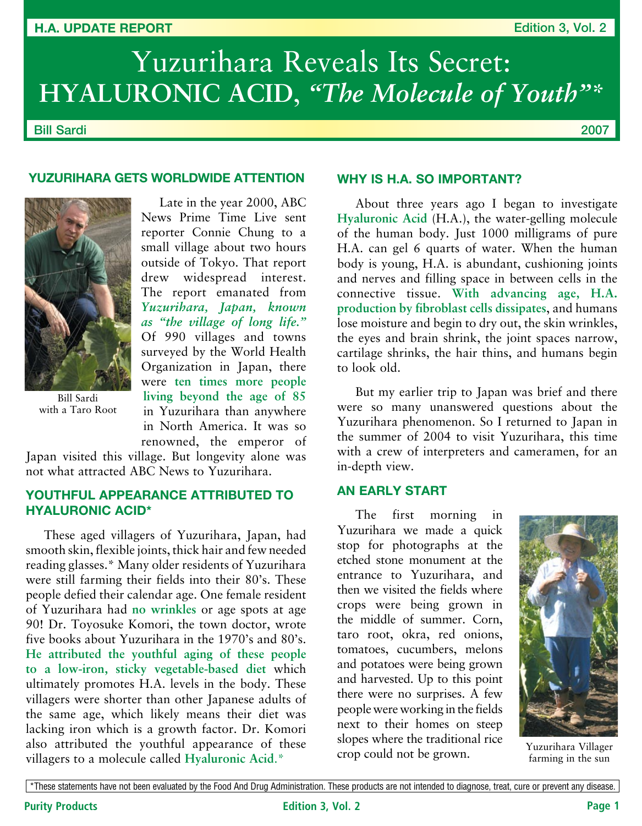#### **H.A. Update Report**

# Yuzurihara Reveals Its Secret: HYALURONIC ACID, "The Molecule of Youth"\*

Bill Sardi

2007

# **YUZURIHARA GETS WORLDWIDE ATTENTION**



Bill Sardi with a Taro Root

Late in the year 2000, ABC News Prime Time Live sent reporter Connie Chung to a small village about two hours outside of Tokyo. That report drew widespread interest. The report emanated from *Yuzurihara, Japan, known as "the village of long life."* Of 990 villages and towns surveyed by the World Health Organization in Japan, there were **ten times more people living beyond the age of 85** in Yuzurihara than anywhere in North America. It was so renowned, the emperor of

Japan visited this village. But longevity alone was not what attracted ABC News to Yuzurihara.

# **Youthful Appearance Attributed To Hyaluronic Acid\***

These aged villagers of Yuzurihara, Japan, had smooth skin, flexible joints, thick hair and few needed reading glasses.\* Many older residents of Yuzurihara were still farming their fields into their 80's. These people defied their calendar age. One female resident of Yuzurihara had **no wrinkles** or age spots at age 90! Dr. Toyosuke Komori, the town doctor, wrote five books about Yuzurihara in the 1970's and 80's. **He attributed the youthful aging of these people to a low-iron, sticky vegetable-based diet** which ultimately promotes H.A. levels in the body. These villagers were shorter than other Japanese adults of the same age, which likely means their diet was lacking iron which is a growth factor. Dr. Komori also attributed the youthful appearance of these villagers to a molecule called **Hyaluronic Acid**.\*

#### **Why is H.A. So Important?**

About three years ago I began to investigate **Hyaluronic Acid** (H.A.), the water-gelling molecule of the human body. Just 1000 milligrams of pure H.A. can gel 6 quarts of water. When the human body is young, H.A. is abundant, cushioning joints and nerves and filling space in between cells in the connective tissue. **With advancing age, H.A. production by fibroblast cells dissipates**, and humans lose moisture and begin to dry out, the skin wrinkles, the eyes and brain shrink, the joint spaces narrow, cartilage shrinks, the hair thins, and humans begin to look old.

But my earlier trip to Japan was brief and there were so many unanswered questions about the Yuzurihara phenomenon. So I returned to Japan in the summer of 2004 to visit Yuzurihara, this time with a crew of interpreters and cameramen, for an in-depth view.

# **An Early Start**

The first morning in Yuzurihara we made a quick stop for photographs at the etched stone monument at the entrance to Yuzurihara, and then we visited the fields where crops were being grown in the middle of summer. Corn, taro root, okra, red onions, tomatoes, cucumbers, melons and potatoes were being grown and harvested. Up to this point there were no surprises. A few people were working in the fields next to their homes on steep slopes where the traditional rice crop could not be grown.



Yuzurihara Villager farming in the sun

\*These statements have not been evaluated by the Food And Drug Administration. These products are not intended to diagnose, treat, cure or prevent any disease.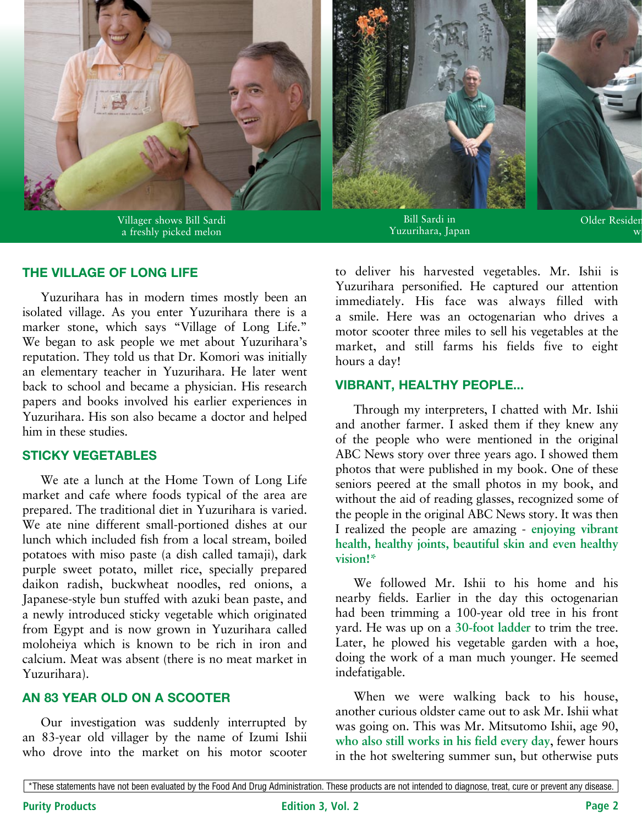

Villager shows Bill Sardi a freshly picked melon





Bill Sardi in Yuzurihara, Japan

Older Resider  $\mathbf w$ 

## **The Village of Long Life**

Yuzurihara has in modern times mostly been an isolated village. As you enter Yuzurihara there is a marker stone, which says "Village of Long Life." We began to ask people we met about Yuzurihara's reputation. They told us that Dr. Komori was initially an elementary teacher in Yuzurihara. He later went back to school and became a physician. His research papers and books involved his earlier experiences in Yuzurihara. His son also became a doctor and helped him in these studies.

## **Sticky Vegetables**

We ate a lunch at the Home Town of Long Life market and cafe where foods typical of the area are prepared. The traditional diet in Yuzurihara is varied. We ate nine different small-portioned dishes at our lunch which included fish from a local stream, boiled potatoes with miso paste (a dish called tamaji), dark purple sweet potato, millet rice, specially prepared daikon radish, buckwheat noodles, red onions, a Japanese-style bun stuffed with azuki bean paste, and a newly introduced sticky vegetable which originated from Egypt and is now grown in Yuzurihara called moloheiya which is known to be rich in iron and calcium. Meat was absent (there is no meat market in Yuzurihara).

## **An 83 Year Old On A Scooter**

Our investigation was suddenly interrupted by an 83-year old villager by the name of Izumi Ishii who drove into the market on his motor scooter to deliver his harvested vegetables. Mr. Ishii is Yuzurihara personified. He captured our attention immediately. His face was always filled with a smile. Here was an octogenarian who drives a motor scooter three miles to sell his vegetables at the market, and still farms his fields five to eight hours a day!

## **Vibrant, Healthy People...**

Through my interpreters, I chatted with Mr. Ishii and another farmer. I asked them if they knew any of the people who were mentioned in the original ABC News story over three years ago. I showed them photos that were published in my book. One of these seniors peered at the small photos in my book, and without the aid of reading glasses, recognized some of the people in the original ABC News story. It was then I realized the people are amazing - **enjoying vibrant health, healthy joints, beautiful skin and even healthy vision!\***

We followed Mr. Ishii to his home and his nearby fields. Earlier in the day this octogenarian had been trimming a 100-year old tree in his front yard. He was up on a **30-foot ladder** to trim the tree. Later, he plowed his vegetable garden with a hoe, doing the work of a man much younger. He seemed indefatigable.

When we were walking back to his house, another curious oldster came out to ask Mr. Ishii what was going on. This was Mr. Mitsutomo Ishii, age 90, **who also still works in his field every day**, fewer hours in the hot sweltering summer sun, but otherwise puts

<sup>\*</sup>These statements have not been evaluated by the Food And Drug Administration. These products are not intended to diagnose, treat, cure or prevent any disease.